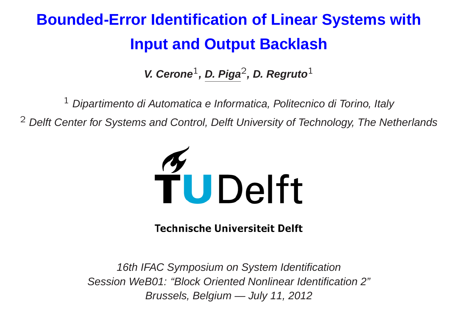# **Bounded-Error Identification of Linear Systems with Input and Output Backlash**

**V. Cerone** 1**, D. Piga** 2**, D. Regruto** 1

 $1$  Dipartimento di Automatica e Informatica, Politecnico di Torino, Italy

 $2$  Delft Center for Systems and Control, Delft University of Technology, The Netherlands



**Technische Universiteit Delft** 

16th IFAC Symposium on System Identification Session WeB01: "Block Oriented Nonlinear Identification 2" Brussels, Belgium — July 11, 2012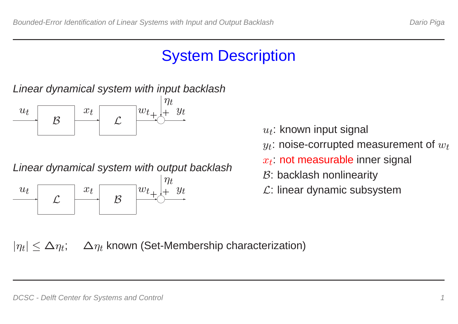### System Description

Linear dynamical system with input backlash



Linear dynamical system with output backlash ✲ L ✲ ✲ ✲ B  $\bigcirc$  $u_t$  $x_t$  $w_{t+1}$  $\overline{y}$ t  $\eta$ t  $+$ 

- $u_t$ : known input signal
- $y_t$ : noise-corrupted measurement of  $w_t$
- $x_t\!\!$ : not measurable inner signal
- $B$ : backlash nonlinearity
- $L:$  linear dynamic subsystem

 $|\eta_t| \leq \Delta \eta_t$ ;  $\Delta \eta_t$  known (Set-Membership characterization)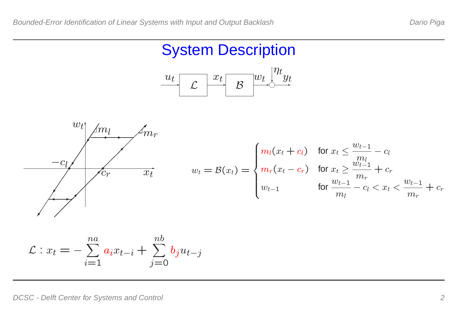#### System Description





$$
\mathcal{L}: x_t = -\sum_{i=1}^{na} a_i x_{t-i} + \sum_{j=0}^{nb} b_j u_{t-j}
$$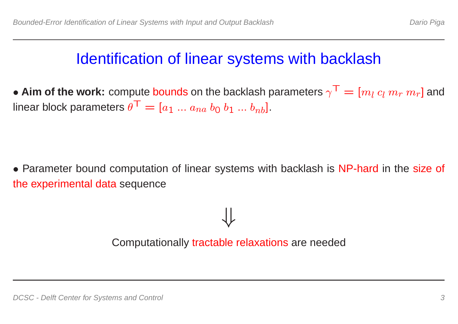### Identification of linear systems with backlash

• Aim of the work: compute bounds on the backlash parameters  $\gamma^{\sf T} = [m_l \, c_l \, m_r \, m_r]$  and linear block parameters  $\theta^{\sf T} = [a_1\; ...\; a_{na}\; b_0\; b_1\; ...\; b_{nb}].$ 

• Parameter bound computation of linear systems with backlash is NP-hard in the size of the experimental data sequence

Computationally tractable relaxations are needed

⇓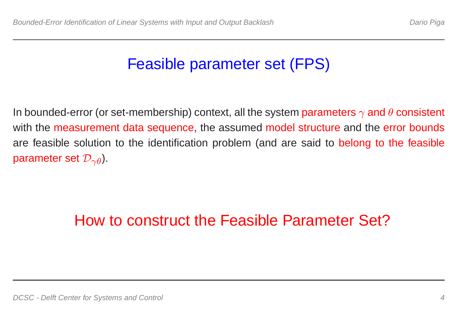## Feasible parameter set (FPS)

In bounded-error (or set-membership) context, all the system  $\bold{parameters} \ \gamma$  and  $\theta$  consistent with the measurement data sequence, the assumed model structure and the error bounds are feasible solution to the identification problem (and are said to belong to the feasible parameter set  $\mathcal{D}_{\gamma\theta}$ ).

## How to construct the Feasible Parameter Set?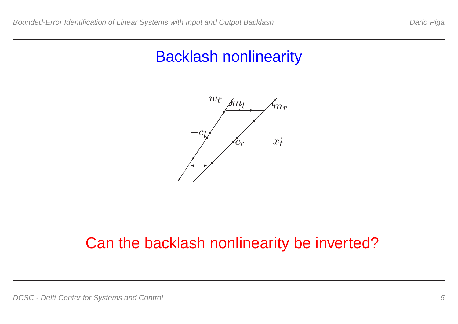### Backlash nonlinearity



### Can the backlash nonlinearity be inverted?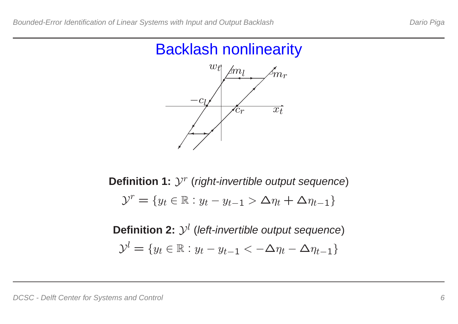#### Backlash nonlinearity



 $\textbf{Definition 1: } \mathcal{Y}^r$  (right-invertible output sequence)  $\mathcal{Y}^r = \{ y_t \in \mathbb{R} : y_t - y_{t-1} > \Delta \eta_t + \Delta \eta_{t-1} \}$ 

 $\textsf{Definition 2: } \mathcal{Y}^l$  (left-invertible output sequence)  $\mathcal{Y}^l = \{y_t \in \mathbb{R} : y_t - y_{t-1} < -\Delta \eta_t - \Delta \eta_{t-1}\}$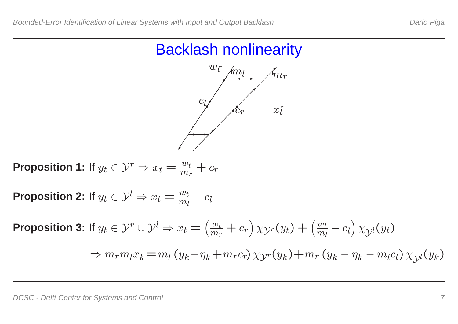#### Backlash nonlinearity



**Proposition 1:** If  $y_t \in \mathcal{Y}^r \Rightarrow x_t = \frac{w_t}{m_t}$  $\frac{w_t}{m_r} + c_r$ 

**Proposition 2:** If  $y_t \in \mathcal{Y}^l \Rightarrow x_t = \frac{w_t}{m_t}$  $m_l$  $-c_l$ 

**Proposition 3:** If  $y_t \in \mathcal{Y}^r \cup \mathcal{Y}^l \Rightarrow x_t = 0$  $\left(\right)$  $w_{t}$  $\frac{w_t}{m_r} + c_r$   $\chi_{\mathcal{Y}^r}(y_t) + ($  $\left.\rule{0pt}{12pt}\right)$  $w_{t}$  $m_l$  $-c_l(x) \chi_{\mathcal{Y}^l}(y_t)$  $\left.\rule{0pt}{12pt}\right)$  $\Rightarrow m_r m_l x_k = m_l (y_k)$  $-\eta_k + m_r c_r$ )  $\chi_{\mathcal{Y}^r}(y_k) + m_r (y_k)$  $-\eta_k$  $-m_l c_l$ )  $\chi_{\mathcal{Y}^l}(y_k)$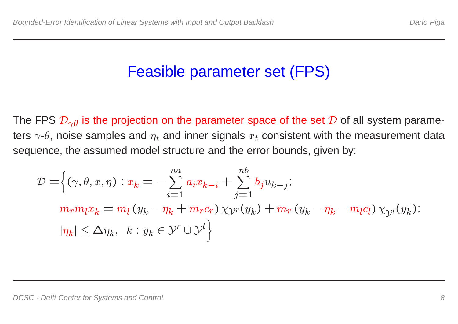### Feasible parameter set (FPS)

The FPS  $\mathcal{D}_{\gamma\theta}$  is the projection on the parameter space of the set  $\mathcal D$  of all system parameters  $\gamma$ - $\theta$ , noise samples and  $\eta_t$  and inner signals  $x_t$  consistent with the measurement data sequence, the assumed model structure and the error bounds, given by:

$$
\mathcal{D} = \left\{ (\gamma, \theta, x, \eta) : x_k = -\sum_{i=1}^{na} a_i x_{k-i} + \sum_{j=1}^{nb} b_j u_{k-j};
$$
  
\n
$$
m_r m_l x_k = m_l (y_k - \eta_k + m_r c_r) \chi_{\mathcal{Y}^r}(y_k) + m_r (y_k - \eta_k - m_l c_l) \chi_{\mathcal{Y}^l}(y_k);
$$
  
\n
$$
|\eta_k| \le \Delta \eta_k, \quad k : y_k \in \mathcal{Y}^r \cup \mathcal{Y}^l \right\}
$$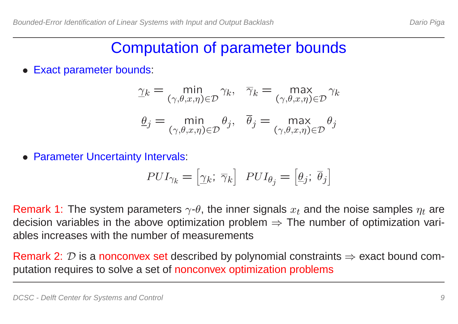#### Computation of parameter bounds

**Exact parameter bounds:** 

$$
\underline{\gamma}_k = \min_{(\gamma, \theta, x, \eta) \in \mathcal{D}} \gamma_k, \quad \overline{\gamma}_k = \max_{(\gamma, \theta, x, \eta) \in \mathcal{D}} \gamma_k
$$

$$
\underline{\theta}_j = \min_{(\gamma, \theta, x, \eta) \in \mathcal{D}} \theta_j, \quad \overline{\theta}_j = \max_{(\gamma, \theta, x, \eta) \in \mathcal{D}} \theta_j
$$

• Parameter Uncertainty Intervals:

$$
PUI_{\gamma_k} = \begin{bmatrix} \gamma_k & \overline{\gamma}_k \end{bmatrix} \quad PUI_{\theta_j} = \begin{bmatrix} \underline{\theta}_j & \overline{\theta}_j \end{bmatrix}
$$

Remark 1: The system parameters  $\gamma$ - $\theta$ , the inner signals  $x_t$  and the noise samples  $\eta_t$  are decision variables in the above optimization problem  $\Rightarrow$  The number of optimization variables increases with the number of measurements

Remark 2:  $D$  is a nonconvex set described by polynomial constraints  $\Rightarrow$  exact bound computation requires to solve <sup>a</sup> set of nonconvex optimization problems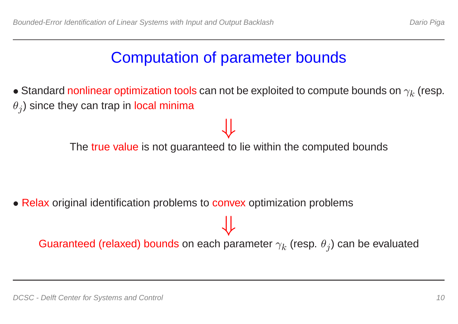### Computation of parameter bounds

 $\bullet$  Standard nonlinear optimization tools can not be exploited to compute bounds on  $\gamma_k$  (resp.  $\theta_j)$  since they can trap in local minima

The true value is not guaranteed to lie within the computed bounds

⇓

• Relax original identification problems to convex optimization problems

Guaranteed (relaxed) bounds on each parameter  $\gamma_k$  (resp.  $\theta_j$ ) can be evaluated

⇓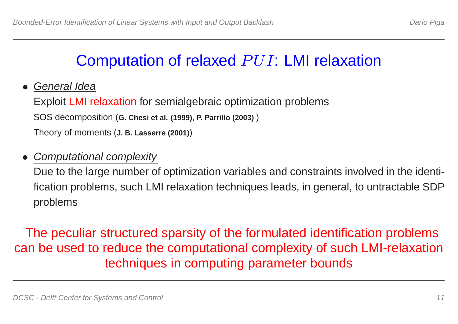## Computation of relaxed PUI: LMI relaxation

• General Idea

Exploit LMI relaxation for semialgebraic optimization problems SOS decomposition (**G. Chesi et al. (1999), P. Parrillo (2003)** ) Theory of moments (**J. B. Lasserre (2001)**)

#### • Computational complexity

Due to the large number of optimization variables and constraints involved in the identification problems, such LMI relaxation techniques leads, in general, to untractable SDP problems

The peculiar structured sparsity of the formulated identification problems can be used to reduce the computational complexity of such LMI-relaxation techniques in computing parameter bounds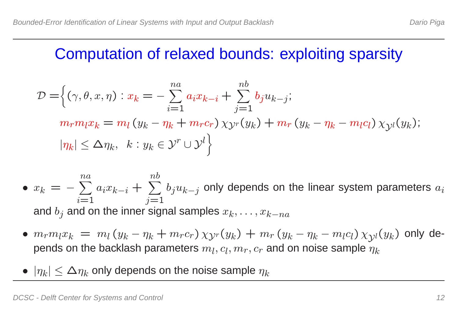#### Computation of relaxed bounds: exploiting sparsity

$$
\mathcal{D} = \left\{ (\gamma, \theta, x, \eta) : x_k = -\sum_{i=1}^{na} a_i x_{k-i} + \sum_{j=1}^{nb} b_j u_{k-j};
$$
  
\n
$$
m_r m_l x_k = m_l (y_k - \eta_k + m_r c_r) \chi_{\mathcal{Y}^r}(y_k) + m_r (y_k - \eta_k - m_l c_l) \chi_{\mathcal{Y}^l}(y_k);
$$
  
\n
$$
|\eta_k| \le \Delta \eta_k, \quad k : y_k \in \mathcal{Y}^r \cup \mathcal{Y}^l \right\}
$$

- $x_k = \sum_{ }^{na}$  $n a$  $i{=}1$  $a_i x_{k-i} + \sum^{nb}$  $nb$  $j$ =1  $b_ju_{k-j}$  only depends on the linear system parameters  $a_i$ and  $b_j$  and on the inner signal samples  $x_k,\ldots,x_{k-na}$
- $m_r m_l x_k = m_l (y_k)$  $-\eta_k + m_r c_r$ )  $\chi_{\mathcal{Y}^r}(y_k) + m_r (y_k)$  $-\eta_k$  $-m_l c_l) \, \chi_{\mathcal{Y}^l}(y_k)$  only depends on the backlash parameters  $m_l, c_l, m_r, c_r$  and on noise sample  $\tilde{\eta}_k$
- $|\eta_k|\leq \Delta\eta_k$  only depends on the noise sample  $\eta_k$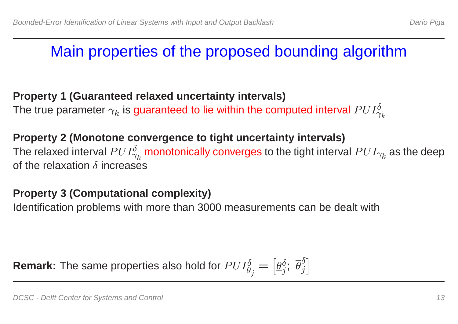## Main properties of the proposed bounding algorithm

#### **Property 1 (Guaranteed relaxed uncertainty intervals)**

The true parameter  $\gamma_k$  is guaranteed to lie within the computed interval  $PUI_{\gamma}^{\delta}$  $\gamma_k$ 

#### **Property 2 (Monotone convergence to tight uncertainty intervals)**

The relaxed interval  $PUI_{\infty}^{\delta}$  $\gamma_k^o$  monotonically converges to the tight interval  $PUI_{\gamma_k}$  as the deep of the relaxation  $\delta$  increases

#### **Property 3 (Computational complexity)**

Identification problems with more than 3000 measurements can be dealt with

**Remark:** The same properties also hold for  $PUI_{\theta}^{\delta}$  $\theta_j$ =  $\begin{bmatrix} \phantom{-} \end{bmatrix}$  $\theta^{\delta}$  $_{j}^{o}\text{; }\theta$  $\delta$ j  $\begin{bmatrix} 1 & 1 \\ 1 & 1 \end{bmatrix}$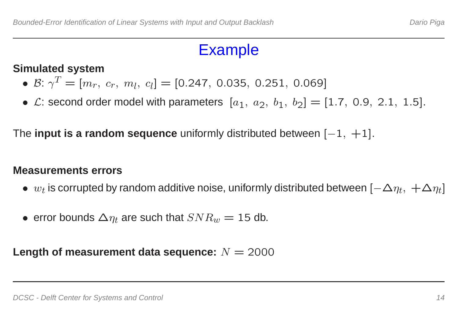#### Example

#### **Simulated system**

- $\bullet$   $\mathcal{B}{:}\;\gamma^T=[m_r,\;c_r,\;m_l,\;c_l]=[0.247,\;0.035,\;0.251,\;0.069]$
- $\mathcal{L}$ : second order model with parameters  $[a_1, a_2, b_1, b_2] = [1.7, 0.9, 2.1, 1.5]$ .

The **input is <sup>a</sup> random sequence** uniformly distributed between [− 1, +1].

#### **Measurements errors**

- $w_t$  is corrupted by random additive noise, uniformly distributed between  $[-\Delta \eta_t, \ +\Delta \eta_t]$
- error bounds  $\Delta \eta_t$  are such that  $SNR_w = 15$  db.

Length of measurement data sequence:  $N=2000$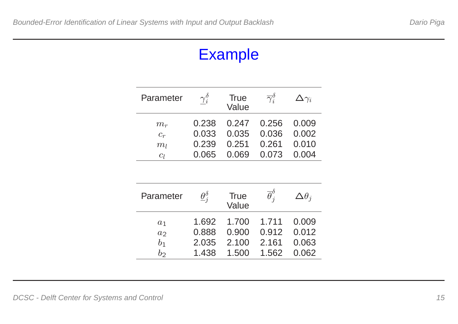#### Example

| Parameter      | $\gamma_i^{\delta}$ | True<br>Value | $\overline{\gamma}_i^{\delta}$ | $\Delta\gamma_i$ |
|----------------|---------------------|---------------|--------------------------------|------------------|
| $m_r$          | 0.238               | $0.247$ 0.256 |                                | 0.009            |
| $C_r$          | 0.033               | 0.035         | 0.036                          | 0.002            |
| $m_l$          | 0.239               | 0.251         | 0.261                          | 0.010            |
| C <sub>l</sub> | 0.065               | 0.069         | 0.073                          | 0.004            |

| Parameter      | $\underline{\theta}_i^{\delta}$ | <b>True</b><br>Value | $\overline{\theta}^{\delta}_{i}$ | $\Delta\theta_i$ |
|----------------|---------------------------------|----------------------|----------------------------------|------------------|
| a <sub>1</sub> | 1.692                           | 1.700                | 1.711                            | 0.009            |
| a <sub>2</sub> | 0.888                           | 0.900                | 0.912                            | 0.012            |
| $b_1$          | 2.035                           | 2.100                | 2.161                            | 0.063            |
| b              | 1.438                           | 1.500                | 1.562                            | 0.062            |